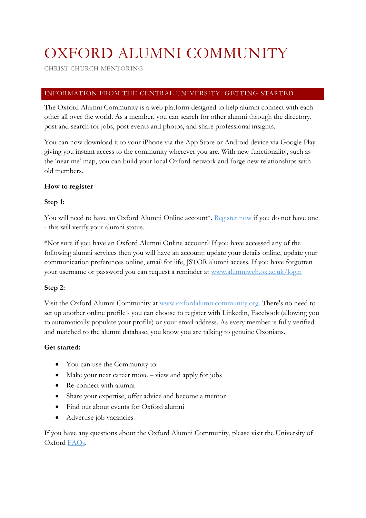# OXFORD ALUMNI COMMUNITY

CHRIST CHURCH MENTORING

# INFORMATION FROM THE CENTRAL UNIVERSITY: GETTING STARTED

The Oxford Alumni Community is a web platform designed to help alumni connect with each other all over the world. As a member, you can search for other alumni through the directory, post and search for jobs, post events and photos, and share professional insights.

You can now download it to your iPhone via the App Store or Android device via Google Play giving you instant access to the community wherever you are. With new functionality, such as the 'near me' map, you can build your local Oxford network and forge new relationships with old members.

# **How to register**

# **Step 1:**

You will need to have an Oxford Alumni Online account\*. [Register now](https://www.alumniweb.ox.ac.uk/secure/page.aspx?pid=1330&tab=1) if you do not have one - this will verify your alumni status.

\*Not sure if you have an Oxford Alumni Online account? If you have accessed any of the following alumni services then you will have an account: update your details online, update your communication preferences online, email for life, JSTOR alumni access. If you have forgotten your username or password you can request a reminder at [www.alumniweb.ox.ac.uk/login](http://www.alumniweb.ox.ac.uk/login)

# **Step 2:**

Visit the Oxford Alumni Community at [www.oxfordalumnicommunity.org.](http://www.oxfordalumnicommunity.org/) There's no need to set up another online profile - you can choose to register with Linkedin, Facebook (allowing you to automatically populate your profile) or your email address. As every member is fully verified and matched to the alumni database, you know you are talking to genuine Oxonians.

# **Get started:**

- You can use the Community to:
- Make your next career move view and apply for jobs
- Re-connect with alumni
- Share your expertise, offer advice and become a mentor
- Find out about events for Oxford alumni
- Advertise job vacancies

If you have any questions about the Oxford Alumni Community, please visit the University of Oxford [FAQs.](https://uni-of-oxford.custhelp.com/app/answers/list)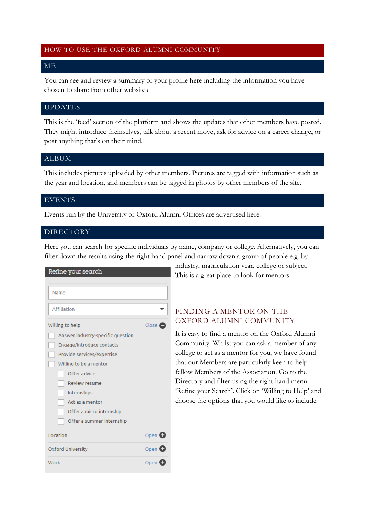## HOW TO USE THE OXFORD ALUMNI COMMUNITY

## ME

You can see and review a summary of your profile here including the information you have chosen to share from other websites

## UPDATES

This is the 'feed' section of the platform and shows the updates that other members have posted. They might introduce themselves, talk about a recent move, ask for advice on a career change, or post anything that's on their mind.

## ALBUM

This includes pictures uploaded by other members. Pictures are tagged with information such as the year and location, and members can be tagged in photos by other members of the site.

#### EVENTS

Events run by the University of Oxford Alumni Offices are advertised here.

## DIRECTORY

Here you can search for specific individuals by name, company or college. Alternatively, you can filter down the results using the right hand panel and narrow down a group of people e.g. by

| Refine your search                |        |
|-----------------------------------|--------|
|                                   |        |
| Name                              |        |
| Affiliation                       |        |
| Willing to help                   | Close  |
| Answer industry-specific question |        |
| Engage/introduce contacts         |        |
| Provide services/expertise        |        |
| Willing to be a mentor            |        |
| Offer advice                      |        |
| Review resume                     |        |
| Internships                       |        |
| Act as a mentor                   |        |
| Offer a micro-internship          |        |
| Offer a summer internship         |        |
| Location                          | Open G |
| <b>Oxford University</b>          | Open C |
| Work                              | Open   |

industry, matriculation year, college or subject. This is a great place to look for mentors

# FINDING A MENTOR ON THE OXFORD ALUMNI COMMUNITY

It is easy to find a mentor on the Oxford Alumni Community. Whilst you can ask a member of any college to act as a mentor for you, we have found that our Members are particularly keen to help fellow Members of the Association. Go to the Directory and filter using the right hand menu 'Refine your Search'. Click on 'Willing to Help' and choose the options that you would like to include.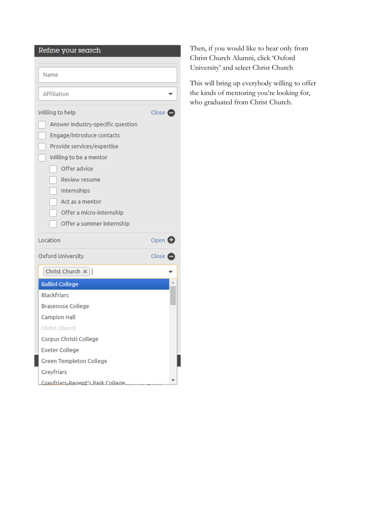| Refine your search                      |                    |  |
|-----------------------------------------|--------------------|--|
|                                         |                    |  |
| Name                                    |                    |  |
|                                         |                    |  |
| Affiliation                             |                    |  |
| Willing to help                         | Close (            |  |
| Answer industry-specific question       |                    |  |
| Engage/introduce contacts               |                    |  |
| Provide services/expertise              |                    |  |
| Willing to be a mentor                  |                    |  |
| Offer advice                            |                    |  |
| <b>Review resume</b>                    |                    |  |
| Internships                             |                    |  |
| Act as a mentor                         |                    |  |
| Offer a micro-internship                |                    |  |
| Offer a summer internship               |                    |  |
| Location                                | Open <b>O</b>      |  |
| Oxford University                       | Close <sup>1</sup> |  |
| Christ Church $\times$                  |                    |  |
| <b>Balliol College</b>                  |                    |  |
| <b>Blackfriars</b>                      |                    |  |
| Brasenose College                       |                    |  |
| <b>Campion Hall</b>                     |                    |  |
| <b>Christ Church</b>                    |                    |  |
| Corpus Christi College                  |                    |  |
| <b>Exeter College</b>                   |                    |  |
| Green Templeton College                 |                    |  |
| Greyfriars                              |                    |  |
| <b>Grevfriars-Regent's Park College</b> |                    |  |

Then, if you would like to hear only from Christ Church Alumni, click 'Oxford University' and select Christ Church

This will bring up everybody willing to offer the kinds of mentoring you're looking for, who graduated from Christ Church.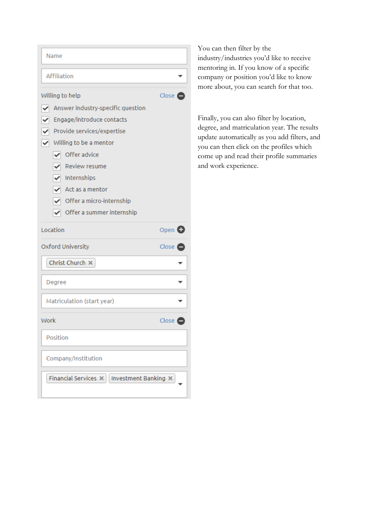| Name                                                                                                                                                                                                                                                                                                                                                       |                  |  |
|------------------------------------------------------------------------------------------------------------------------------------------------------------------------------------------------------------------------------------------------------------------------------------------------------------------------------------------------------------|------------------|--|
| Affiliation                                                                                                                                                                                                                                                                                                                                                |                  |  |
| Willing to help<br>Answer industry-specific question<br>✔<br>$\blacktriangledown$<br>Engage/introduce contacts<br>$\blacktriangleright$ Provide services/expertise<br>$\blacktriangleright$ Willing to be a mentor<br>Offer advice<br>✓<br>Review resume<br>Internships<br>Act as a mentor<br>✔ Offer a micro-internship<br>Offer a summer internship<br>✓ | Close $\epsilon$ |  |
| Location                                                                                                                                                                                                                                                                                                                                                   | Open <b>O</b>    |  |
| <b>Oxford University</b>                                                                                                                                                                                                                                                                                                                                   | Close C          |  |
| Christ Church X                                                                                                                                                                                                                                                                                                                                            |                  |  |
| Degree                                                                                                                                                                                                                                                                                                                                                     |                  |  |
| Matriculation (start year)                                                                                                                                                                                                                                                                                                                                 |                  |  |
| Work                                                                                                                                                                                                                                                                                                                                                       | Close $\bullet$  |  |
| Position                                                                                                                                                                                                                                                                                                                                                   |                  |  |
| Company/Institution                                                                                                                                                                                                                                                                                                                                        |                  |  |
| Financial Services X<br>Investment Banking X                                                                                                                                                                                                                                                                                                               |                  |  |

You can then filter by the industry/industries you'd like to receive mentoring in. If you know of a specific company or position you'd like to know more about, you can search for that too.

Finally, you can also filter by location, degree, and matriculation year. The results update automatically as you add filters, and you can then click on the profiles which come up and read their profile summaries and work experience.